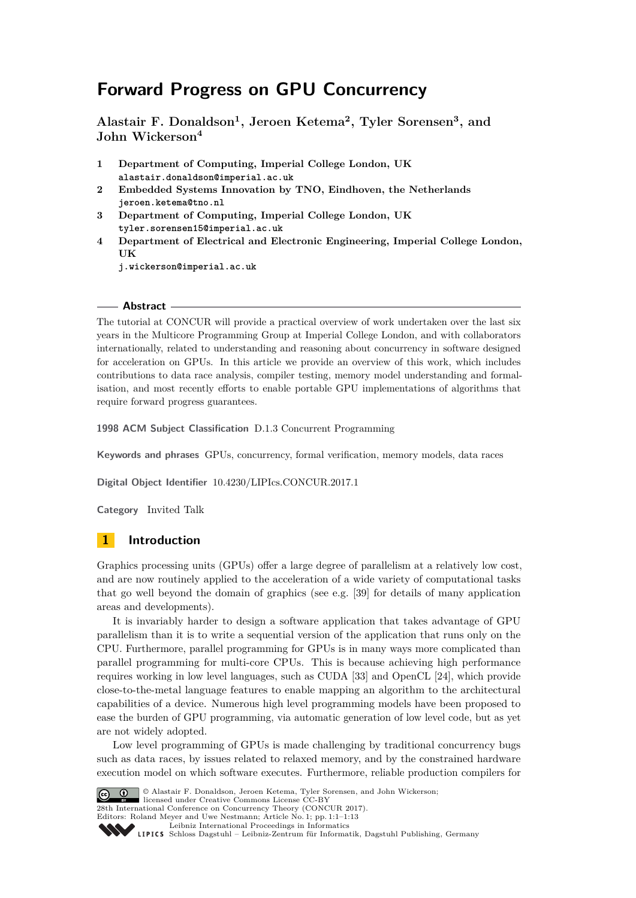# **Forward Progress on GPU Concurrency**

**Alastair F. Donaldson<sup>1</sup> , Jeroen Ketema<sup>2</sup> , Tyler Sorensen<sup>3</sup> , and John Wickerson<sup>4</sup>**

- **1 Department of Computing, Imperial College London, UK alastair.donaldson@imperial.ac.uk**
- **2 Embedded Systems Innovation by TNO, Eindhoven, the Netherlands jeroen.ketema@tno.nl**
- **3 Department of Computing, Imperial College London, UK tyler.sorensen15@imperial.ac.uk**
- **4 Department of Electrical and Electronic Engineering, Imperial College London, UK**

**j.wickerson@imperial.ac.uk**

### **Abstract**

The tutorial at CONCUR will provide a practical overview of work undertaken over the last six years in the Multicore Programming Group at Imperial College London, and with collaborators internationally, related to understanding and reasoning about concurrency in software designed for acceleration on GPUs. In this article we provide an overview of this work, which includes contributions to data race analysis, compiler testing, memory model understanding and formalisation, and most recently efforts to enable portable GPU implementations of algorithms that require forward progress guarantees.

**1998 ACM Subject Classification** D.1.3 Concurrent Programming

**Keywords and phrases** GPUs, concurrency, formal verification, memory models, data races

**Digital Object Identifier** [10.4230/LIPIcs.CONCUR.2017.1](http://dx.doi.org/10.4230/LIPIcs.CONCUR.2017.1)

**Category** Invited Talk

# **1 Introduction**

Graphics processing units (GPUs) offer a large degree of parallelism at a relatively low cost, and are now routinely applied to the acceleration of a wide variety of computational tasks that go well beyond the domain of graphics (see e.g. [\[39\]](#page-12-0) for details of many application areas and developments).

It is invariably harder to design a software application that takes advantage of GPU parallelism than it is to write a sequential version of the application that runs only on the CPU. Furthermore, parallel programming for GPUs is in many ways more complicated than parallel programming for multi-core CPUs. This is because achieving high performance requires working in low level languages, such as CUDA [\[33\]](#page-12-1) and OpenCL [\[24\]](#page-11-0), which provide close-to-the-metal language features to enable mapping an algorithm to the architectural capabilities of a device. Numerous high level programming models have been proposed to ease the burden of GPU programming, via automatic generation of low level code, but as yet are not widely adopted.

Low level programming of GPUs is made challenging by traditional concurrency bugs such as data races, by issues related to relaxed memory, and by the constrained hardware execution model on which software executes. Furthermore, reliable production compilers for



© Alastair F. Donaldson, Jeroen Ketema, Tyler Sorensen, and John Wickerson; **28th International Conference on Concurrency Theory (CONCUR 2017).** Editors: Roland Meyer and Uwe Nestmann; Article No. 1; pp. 1:1–1[:13](#page-12-2) [Leibniz International Proceedings in Informatics](http://www.dagstuhl.de/lipics/)

[Schloss Dagstuhl – Leibniz-Zentrum für Informatik, Dagstuhl Publishing, Germany](http://www.dagstuhl.de)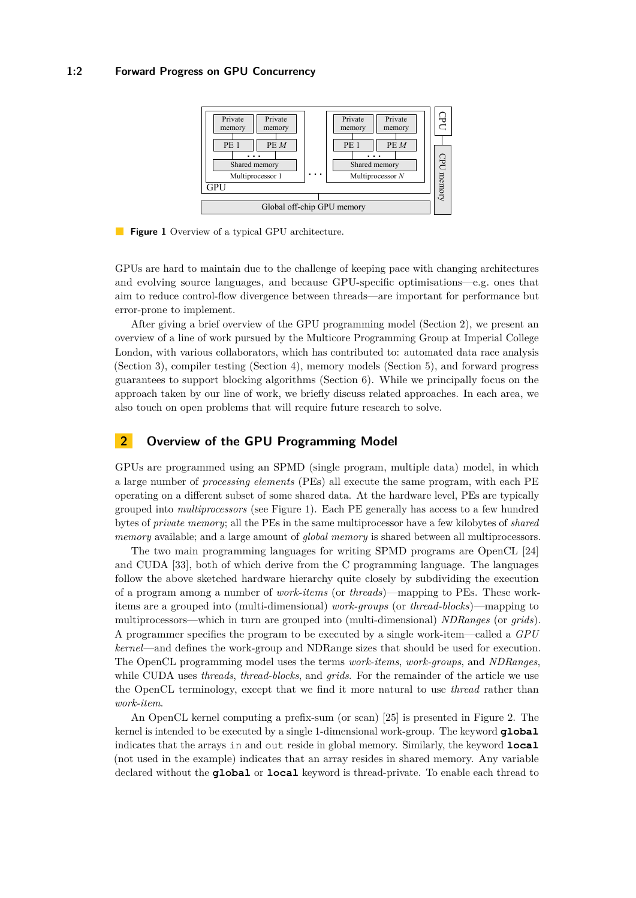## <span id="page-1-1"></span>**1:2 Forward Progress on GPU Concurrency**



**Figure 1** Overview of a typical GPU architecture.

GPUs are hard to maintain due to the challenge of keeping pace with changing architectures and evolving source languages, and because GPU-specific optimisations—e.g. ones that aim to reduce control-flow divergence between threads—are important for performance but error-prone to implement.

After giving a brief overview of the GPU programming model (Section [2\)](#page-1-0), we present an overview of a line of work pursued by the Multicore Programming Group at Imperial College London, with various collaborators, which has contributed to: automated data race analysis (Section [3\)](#page-2-0), compiler testing (Section [4\)](#page-5-0), memory models (Section [5\)](#page-6-0), and forward progress guarantees to support blocking algorithms (Section [6\)](#page-8-0). While we principally focus on the approach taken by our line of work, we briefly discuss related approaches. In each area, we also touch on open problems that will require future research to solve.

# <span id="page-1-0"></span>**2 Overview of the GPU Programming Model**

GPUs are programmed using an SPMD (single program, multiple data) model, in which a large number of *processing elements* (PEs) all execute the same program, with each PE operating on a different subset of some shared data. At the hardware level, PEs are typically grouped into *multiprocessors* (see Figure [1\)](#page-1-1). Each PE generally has access to a few hundred bytes of *private memory*; all the PEs in the same multiprocessor have a few kilobytes of *shared memory* available; and a large amount of *global memory* is shared between all multiprocessors.

The two main programming languages for writing SPMD programs are OpenCL [\[24\]](#page-11-0) and CUDA [\[33\]](#page-12-1), both of which derive from the C programming language. The languages follow the above sketched hardware hierarchy quite closely by subdividing the execution of a program among a number of *work-items* (or *threads*)—mapping to PEs. These workitems are a grouped into (multi-dimensional) *work-groups* (or *thread-blocks*)—mapping to multiprocessors—which in turn are grouped into (multi-dimensional) *NDRanges* (or *grids*). A programmer specifies the program to be executed by a single work-item—called a *GPU kernel*—and defines the work-group and NDRange sizes that should be used for execution. The OpenCL programming model uses the terms *work-items*, *work-groups*, and *NDRanges*, while CUDA uses *threads*, *thread-blocks*, and *grids*. For the remainder of the article we use the OpenCL terminology, except that we find it more natural to use *thread* rather than *work-item*.

An OpenCL kernel computing a prefix-sum (or scan) [\[25\]](#page-11-1) is presented in Figure [2.](#page-2-1) The kernel is intended to be executed by a single 1-dimensional work-group. The keyword **global** indicates that the arrays in and out reside in global memory. Similarly, the keyword **local** (not used in the example) indicates that an array resides in shared memory. Any variable declared without the **global** or **local** keyword is thread-private. To enable each thread to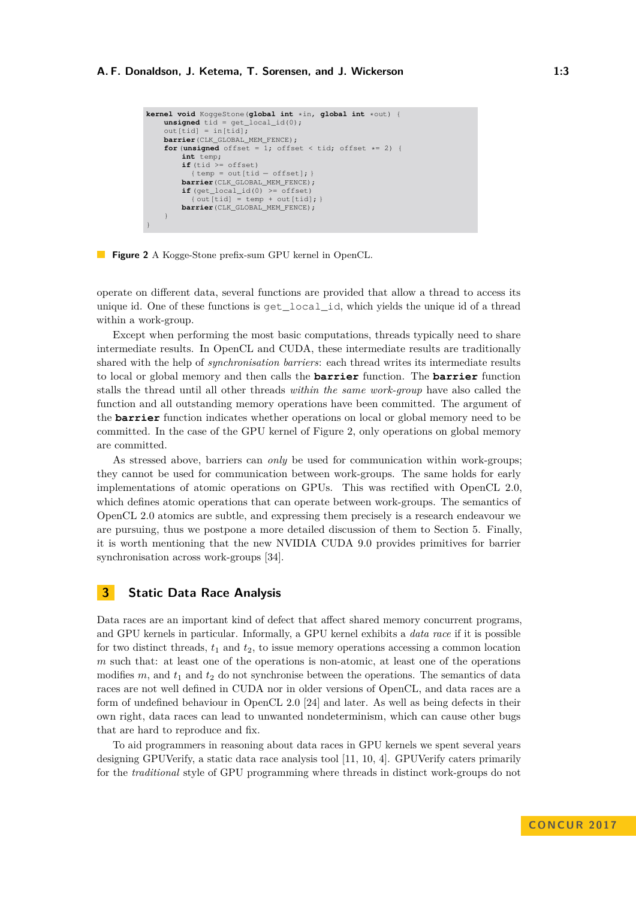```
kernel void KoggeStone(global int *in, global int *out) {
    unsigned tid = get_local_id(0);
    out[tid] = in[tid];barrier(CLK_GLOBAL_MEM_FENCE);
    for (unsigned offset = 1; offset < tid; offset * = 2) {
        int temp;
if (tid >= offset)
          {temp = out[tid - offset]};
        barrier(CLK_GLOBAL_MEM_FENCE);
        if (get_local_id(0) >= offset)
          {out[tid] = temp + out[tid];}
        barrier(CLK_GLOBAL_MEM_FENCE);
    }
}
```


operate on different data, several functions are provided that allow a thread to access its unique id. One of these functions is get\_local\_id, which yields the unique id of a thread within a work-group.

Except when performing the most basic computations, threads typically need to share intermediate results. In OpenCL and CUDA, these intermediate results are traditionally shared with the help of *synchronisation barriers*: each thread writes its intermediate results to local or global memory and then calls the **barrier** function. The **barrier** function stalls the thread until all other threads *within the same work-group* have also called the function and all outstanding memory operations have been committed. The argument of the **barrier** function indicates whether operations on local or global memory need to be committed. In the case of the GPU kernel of Figure [2,](#page-2-1) only operations on global memory are committed.

As stressed above, barriers can *only* be used for communication within work-groups; they cannot be used for communication between work-groups. The same holds for early implementations of atomic operations on GPUs. This was rectified with OpenCL 2.0, which defines atomic operations that can operate between work-groups. The semantics of OpenCL 2.0 atomics are subtle, and expressing them precisely is a research endeavour we are pursuing, thus we postpone a more detailed discussion of them to Section [5.](#page-6-0) Finally, it is worth mentioning that the new NVIDIA CUDA 9.0 provides primitives for barrier synchronisation across work-groups [\[34\]](#page-12-3).

# <span id="page-2-0"></span>**3 Static Data Race Analysis**

Data races are an important kind of defect that affect shared memory concurrent programs, and GPU kernels in particular. Informally, a GPU kernel exhibits a *data race* if it is possible for two distinct threads,  $t_1$  and  $t_2$ , to issue memory operations accessing a common location *m* such that: at least one of the operations is non-atomic, at least one of the operations modifies  $m$ , and  $t_1$  and  $t_2$  do not synchronise between the operations. The semantics of data races are not well defined in CUDA nor in older versions of OpenCL, and data races are a form of undefined behaviour in OpenCL 2.0 [\[24\]](#page-11-0) and later. As well as being defects in their own right, data races can lead to unwanted nondeterminism, which can cause other bugs that are hard to reproduce and fix.

To aid programmers in reasoning about data races in GPU kernels we spent several years designing GPUVerify, a static data race analysis tool [\[11,](#page-11-2) [10,](#page-11-3) [4\]](#page-10-0). GPUVerify caters primarily for the *traditional* style of GPU programming where threads in distinct work-groups do not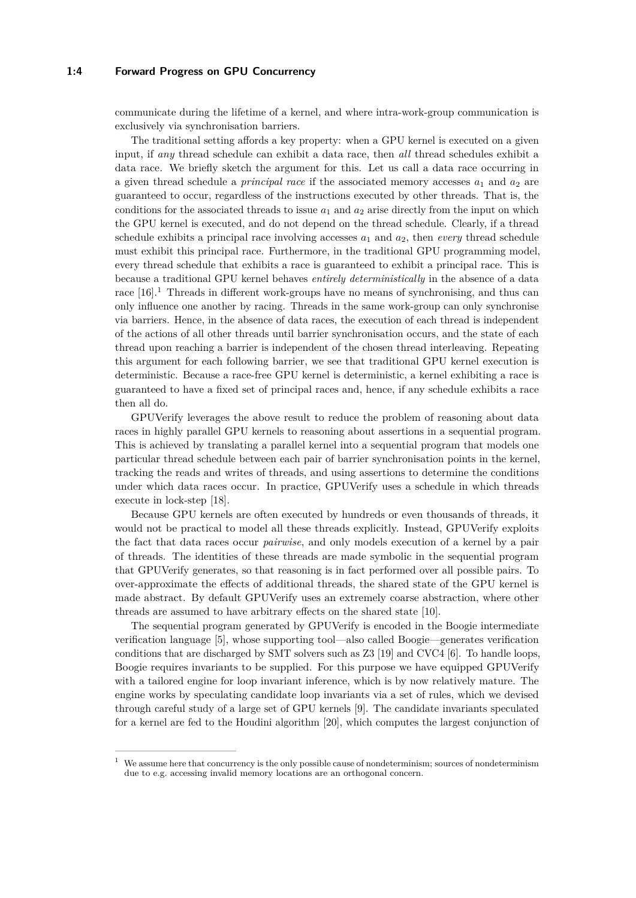## **1:4 Forward Progress on GPU Concurrency**

communicate during the lifetime of a kernel, and where intra-work-group communication is exclusively via synchronisation barriers.

The traditional setting affords a key property: when a GPU kernel is executed on a given input, if *any* thread schedule can exhibit a data race, then *all* thread schedules exhibit a data race. We briefly sketch the argument for this. Let us call a data race occurring in a given thread schedule a *principal race* if the associated memory accesses  $a_1$  and  $a_2$  are guaranteed to occur, regardless of the instructions executed by other threads. That is, the conditions for the associated threads to issue  $a_1$  and  $a_2$  arise directly from the input on which the GPU kernel is executed, and do not depend on the thread schedule. Clearly, if a thread schedule exhibits a principal race involving accesses  $a_1$  and  $a_2$ , then *every* thread schedule must exhibit this principal race. Furthermore, in the traditional GPU programming model, every thread schedule that exhibits a race is guaranteed to exhibit a principal race. This is because a traditional GPU kernel behaves *entirely deterministically* in the absence of a data race [\[16\]](#page-11-4).<sup>[1](#page-3-0)</sup> Threads in different work-groups have no means of synchronising, and thus can only influence one another by racing. Threads in the same work-group can only synchronise via barriers. Hence, in the absence of data races, the execution of each thread is independent of the actions of all other threads until barrier synchronisation occurs, and the state of each thread upon reaching a barrier is independent of the chosen thread interleaving. Repeating this argument for each following barrier, we see that traditional GPU kernel execution is deterministic. Because a race-free GPU kernel is deterministic, a kernel exhibiting a race is guaranteed to have a fixed set of principal races and, hence, if any schedule exhibits a race then all do.

GPUVerify leverages the above result to reduce the problem of reasoning about data races in highly parallel GPU kernels to reasoning about assertions in a sequential program. This is achieved by translating a parallel kernel into a sequential program that models one particular thread schedule between each pair of barrier synchronisation points in the kernel, tracking the reads and writes of threads, and using assertions to determine the conditions under which data races occur. In practice, GPUVerify uses a schedule in which threads execute in lock-step [\[18\]](#page-11-5).

Because GPU kernels are often executed by hundreds or even thousands of threads, it would not be practical to model all these threads explicitly. Instead, GPUVerify exploits the fact that data races occur *pairwise*, and only models execution of a kernel by a pair of threads. The identities of these threads are made symbolic in the sequential program that GPUVerify generates, so that reasoning is in fact performed over all possible pairs. To over-approximate the effects of additional threads, the shared state of the GPU kernel is made abstract. By default GPUVerify uses an extremely coarse abstraction, where other threads are assumed to have arbitrary effects on the shared state [\[10\]](#page-11-3).

The sequential program generated by GPUVerify is encoded in the Boogie intermediate verification language [\[5\]](#page-10-1), whose supporting tool—also called Boogie—generates verification conditions that are discharged by SMT solvers such as Z3 [\[19\]](#page-11-6) and CVC4 [\[6\]](#page-10-2). To handle loops, Boogie requires invariants to be supplied. For this purpose we have equipped GPUVerify with a tailored engine for loop invariant inference, which is by now relatively mature. The engine works by speculating candidate loop invariants via a set of rules, which we devised through careful study of a large set of GPU kernels [\[9\]](#page-10-3). The candidate invariants speculated for a kernel are fed to the Houdini algorithm [\[20\]](#page-11-7), which computes the largest conjunction of

<span id="page-3-0"></span>We assume here that concurrency is the only possible cause of nondeterminism; sources of nondeterminism due to e.g. accessing invalid memory locations are an orthogonal concern.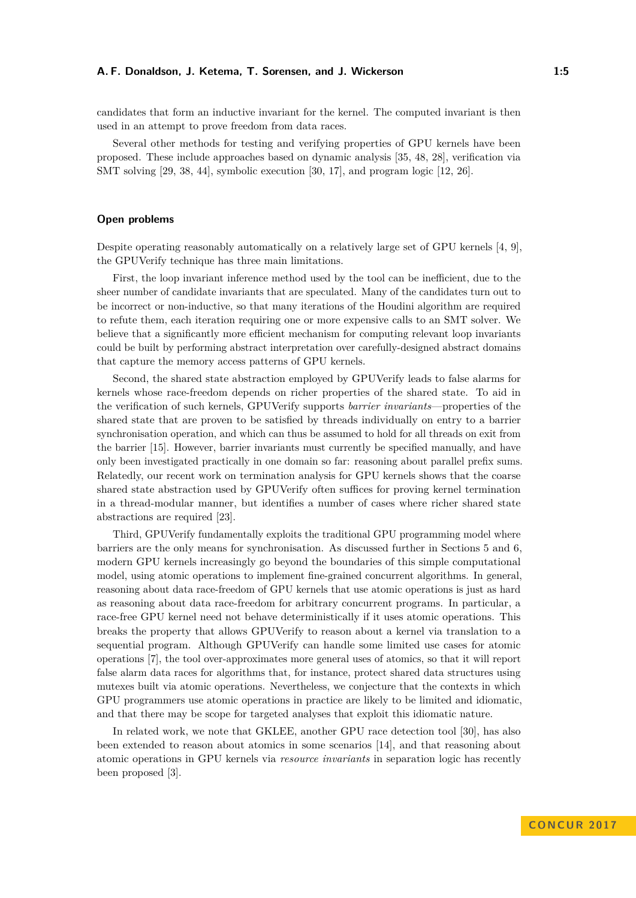candidates that form an inductive invariant for the kernel. The computed invariant is then used in an attempt to prove freedom from data races.

Several other methods for testing and verifying properties of GPU kernels have been proposed. These include approaches based on dynamic analysis [\[35,](#page-12-4) [48,](#page-12-5) [28\]](#page-11-8), verification via SMT solving [\[29,](#page-11-9) [38,](#page-12-6) [44\]](#page-12-7), symbolic execution [\[30,](#page-11-10) [17\]](#page-11-11), and program logic [\[12,](#page-11-12) [26\]](#page-11-13).

# **Open problems**

Despite operating reasonably automatically on a relatively large set of GPU kernels [\[4,](#page-10-0) [9\]](#page-10-3), the GPUVerify technique has three main limitations.

First, the loop invariant inference method used by the tool can be inefficient, due to the sheer number of candidate invariants that are speculated. Many of the candidates turn out to be incorrect or non-inductive, so that many iterations of the Houdini algorithm are required to refute them, each iteration requiring one or more expensive calls to an SMT solver. We believe that a significantly more efficient mechanism for computing relevant loop invariants could be built by performing abstract interpretation over carefully-designed abstract domains that capture the memory access patterns of GPU kernels.

Second, the shared state abstraction employed by GPUVerify leads to false alarms for kernels whose race-freedom depends on richer properties of the shared state. To aid in the verification of such kernels, GPUVerify supports *barrier invariants*—properties of the shared state that are proven to be satisfied by threads individually on entry to a barrier synchronisation operation, and which can thus be assumed to hold for all threads on exit from the barrier [\[15\]](#page-11-14). However, barrier invariants must currently be specified manually, and have only been investigated practically in one domain so far: reasoning about parallel prefix sums. Relatedly, our recent work on termination analysis for GPU kernels shows that the coarse shared state abstraction used by GPUVerify often suffices for proving kernel termination in a thread-modular manner, but identifies a number of cases where richer shared state abstractions are required [\[23\]](#page-11-15).

Third, GPUVerify fundamentally exploits the traditional GPU programming model where barriers are the only means for synchronisation. As discussed further in Sections [5](#page-6-0) and [6,](#page-8-0) modern GPU kernels increasingly go beyond the boundaries of this simple computational model, using atomic operations to implement fine-grained concurrent algorithms. In general, reasoning about data race-freedom of GPU kernels that use atomic operations is just as hard as reasoning about data race-freedom for arbitrary concurrent programs. In particular, a race-free GPU kernel need not behave deterministically if it uses atomic operations. This breaks the property that allows GPUVerify to reason about a kernel via translation to a sequential program. Although GPUVerify can handle some limited use cases for atomic operations [\[7\]](#page-10-4), the tool over-approximates more general uses of atomics, so that it will report false alarm data races for algorithms that, for instance, protect shared data structures using mutexes built via atomic operations. Nevertheless, we conjecture that the contexts in which GPU programmers use atomic operations in practice are likely to be limited and idiomatic, and that there may be scope for targeted analyses that exploit this idiomatic nature.

In related work, we note that GKLEE, another GPU race detection tool [\[30\]](#page-11-10), has also been extended to reason about atomics in some scenarios [\[14\]](#page-11-16), and that reasoning about atomic operations in GPU kernels via *resource invariants* in separation logic has recently been proposed [\[3\]](#page-10-5).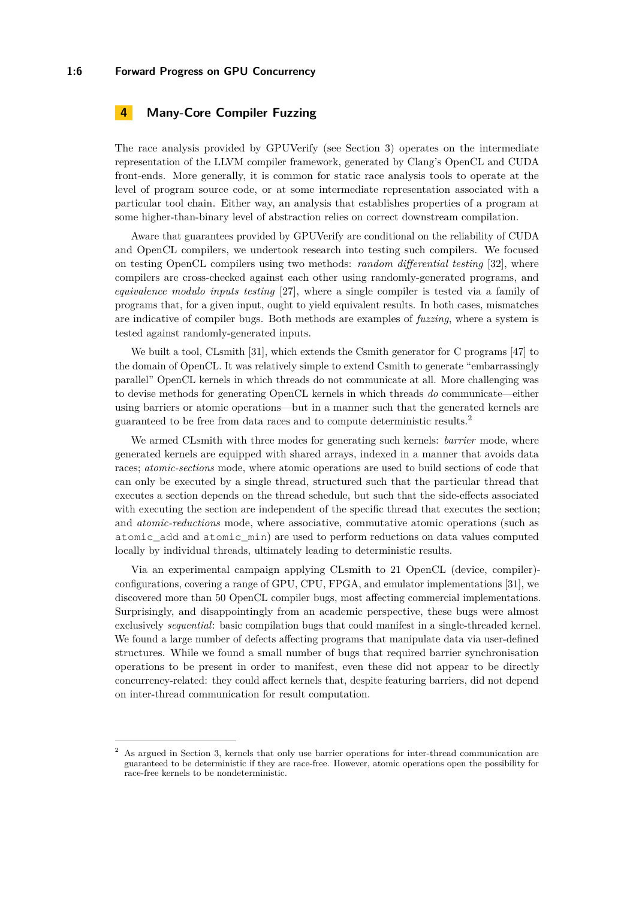## **1:6 Forward Progress on GPU Concurrency**

# <span id="page-5-0"></span>**4 Many-Core Compiler Fuzzing**

The race analysis provided by GPUVerify (see Section [3\)](#page-2-0) operates on the intermediate representation of the LLVM compiler framework, generated by Clang's OpenCL and CUDA front-ends. More generally, it is common for static race analysis tools to operate at the level of program source code, or at some intermediate representation associated with a particular tool chain. Either way, an analysis that establishes properties of a program at some higher-than-binary level of abstraction relies on correct downstream compilation.

Aware that guarantees provided by GPUVerify are conditional on the reliability of CUDA and OpenCL compilers, we undertook research into testing such compilers. We focused on testing OpenCL compilers using two methods: *random differential testing* [\[32\]](#page-11-17), where compilers are cross-checked against each other using randomly-generated programs, and *equivalence modulo inputs testing* [\[27\]](#page-11-18), where a single compiler is tested via a family of programs that, for a given input, ought to yield equivalent results. In both cases, mismatches are indicative of compiler bugs. Both methods are examples of *fuzzing*, where a system is tested against randomly-generated inputs.

We built a tool, CLsmith [\[31\]](#page-11-19), which extends the Csmith generator for C programs [\[47\]](#page-12-8) to the domain of OpenCL. It was relatively simple to extend Csmith to generate "embarrassingly parallel" OpenCL kernels in which threads do not communicate at all. More challenging was to devise methods for generating OpenCL kernels in which threads *do* communicate—either using barriers or atomic operations—but in a manner such that the generated kernels are guaranteed to be free from data races and to compute deterministic results.[2](#page-5-1)

We armed CLsmith with three modes for generating such kernels: *barrier* mode, where generated kernels are equipped with shared arrays, indexed in a manner that avoids data races; *atomic-sections* mode, where atomic operations are used to build sections of code that can only be executed by a single thread, structured such that the particular thread that executes a section depends on the thread schedule, but such that the side-effects associated with executing the section are independent of the specific thread that executes the section; and *atomic-reductions* mode, where associative, commutative atomic operations (such as atomic\_add and atomic\_min) are used to perform reductions on data values computed locally by individual threads, ultimately leading to deterministic results.

Via an experimental campaign applying CLsmith to 21 OpenCL (device, compiler) configurations, covering a range of GPU, CPU, FPGA, and emulator implementations [\[31\]](#page-11-19), we discovered more than 50 OpenCL compiler bugs, most affecting commercial implementations. Surprisingly, and disappointingly from an academic perspective, these bugs were almost exclusively *sequential*: basic compilation bugs that could manifest in a single-threaded kernel. We found a large number of defects affecting programs that manipulate data via user-defined structures. While we found a small number of bugs that required barrier synchronisation operations to be present in order to manifest, even these did not appear to be directly concurrency-related: they could affect kernels that, despite featuring barriers, did not depend on inter-thread communication for result computation.

<span id="page-5-1"></span><sup>2</sup> As argued in Section [3,](#page-2-0) kernels that only use barrier operations for inter-thread communication are guaranteed to be deterministic if they are race-free. However, atomic operations open the possibility for race-free kernels to be nondeterministic.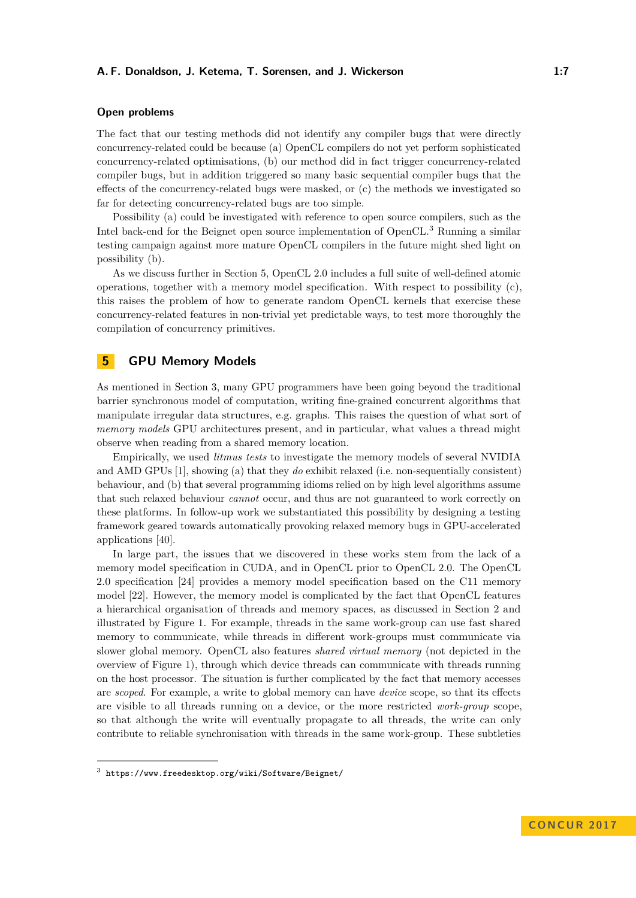# **Open problems**

The fact that our testing methods did not identify any compiler bugs that were directly concurrency-related could be because (a) OpenCL compilers do not yet perform sophisticated concurrency-related optimisations, (b) our method did in fact trigger concurrency-related compiler bugs, but in addition triggered so many basic sequential compiler bugs that the effects of the concurrency-related bugs were masked, or (c) the methods we investigated so far for detecting concurrency-related bugs are too simple.

Possibility (a) could be investigated with reference to open source compilers, such as the Intel back-end for the Beignet open source implementation of OpenCL.[3](#page-6-1) Running a similar testing campaign against more mature OpenCL compilers in the future might shed light on possibility (b).

As we discuss further in Section [5,](#page-6-0) OpenCL 2.0 includes a full suite of well-defined atomic operations, together with a memory model specification. With respect to possibility (c), this raises the problem of how to generate random OpenCL kernels that exercise these concurrency-related features in non-trivial yet predictable ways, to test more thoroughly the compilation of concurrency primitives.

# <span id="page-6-0"></span>**5 GPU Memory Models**

As mentioned in Section [3,](#page-2-0) many GPU programmers have been going beyond the traditional barrier synchronous model of computation, writing fine-grained concurrent algorithms that manipulate irregular data structures, e.g. graphs. This raises the question of what sort of *memory models* GPU architectures present, and in particular, what values a thread might observe when reading from a shared memory location.

Empirically, we used *litmus tests* to investigate the memory models of several NVIDIA and AMD GPUs [\[1\]](#page-10-6), showing (a) that they *do* exhibit relaxed (i.e. non-sequentially consistent) behaviour, and (b) that several programming idioms relied on by high level algorithms assume that such relaxed behaviour *cannot* occur, and thus are not guaranteed to work correctly on these platforms. In follow-up work we substantiated this possibility by designing a testing framework geared towards automatically provoking relaxed memory bugs in GPU-accelerated applications [\[40\]](#page-12-9).

In large part, the issues that we discovered in these works stem from the lack of a memory model specification in CUDA, and in OpenCL prior to OpenCL 2.0. The OpenCL 2.0 specification [\[24\]](#page-11-0) provides a memory model specification based on the C11 memory model [\[22\]](#page-11-20). However, the memory model is complicated by the fact that OpenCL features a hierarchical organisation of threads and memory spaces, as discussed in Section [2](#page-1-0) and illustrated by Figure [1.](#page-1-1) For example, threads in the same work-group can use fast shared memory to communicate, while threads in different work-groups must communicate via slower global memory. OpenCL also features *shared virtual memory* (not depicted in the overview of Figure [1\)](#page-1-1), through which device threads can communicate with threads running on the host processor. The situation is further complicated by the fact that memory accesses are *scoped*. For example, a write to global memory can have *device* scope, so that its effects are visible to all threads running on a device, or the more restricted *work-group* scope, so that although the write will eventually propagate to all threads, the write can only contribute to reliable synchronisation with threads in the same work-group. These subtleties

<span id="page-6-1"></span> $^3$  <https://www.freedesktop.org/wiki/Software/Beignet/>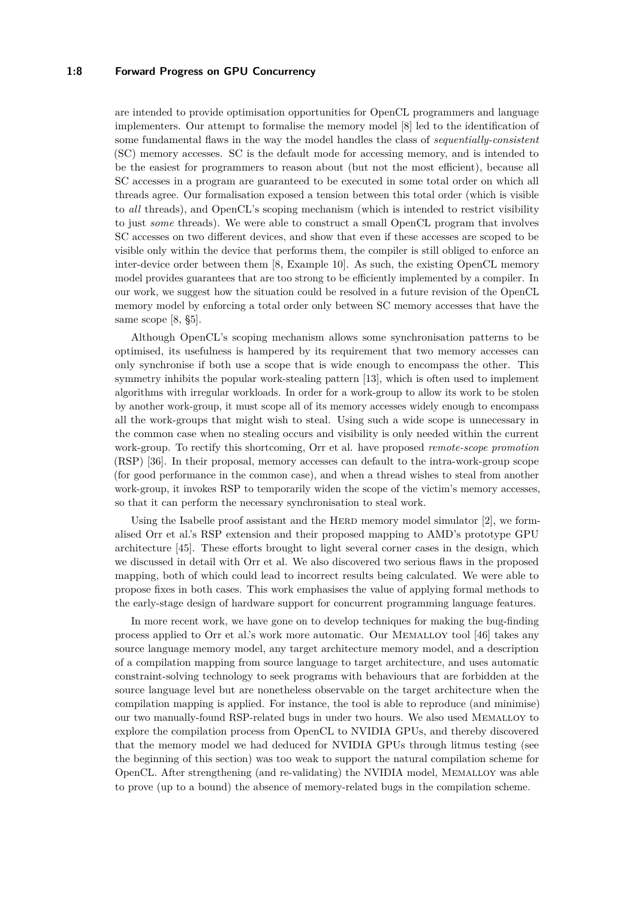## **1:8 Forward Progress on GPU Concurrency**

are intended to provide optimisation opportunities for OpenCL programmers and language implementers. Our attempt to formalise the memory model [\[8\]](#page-10-7) led to the identification of some fundamental flaws in the way the model handles the class of *sequentially-consistent* (SC) memory accesses. SC is the default mode for accessing memory, and is intended to be the easiest for programmers to reason about (but not the most efficient), because all SC accesses in a program are guaranteed to be executed in some total order on which all threads agree. Our formalisation exposed a tension between this total order (which is visible to *all* threads), and OpenCL's scoping mechanism (which is intended to restrict visibility to just *some* threads). We were able to construct a small OpenCL program that involves SC accesses on two different devices, and show that even if these accesses are scoped to be visible only within the device that performs them, the compiler is still obliged to enforce an inter-device order between them [\[8,](#page-10-7) Example 10]. As such, the existing OpenCL memory model provides guarantees that are too strong to be efficiently implemented by a compiler. In our work, we suggest how the situation could be resolved in a future revision of the OpenCL memory model by enforcing a total order only between SC memory accesses that have the same scope [\[8,](#page-10-7)  $\S5$ ].

Although OpenCL's scoping mechanism allows some synchronisation patterns to be optimised, its usefulness is hampered by its requirement that two memory accesses can only synchronise if both use a scope that is wide enough to encompass the other. This symmetry inhibits the popular work-stealing pattern [\[13\]](#page-11-21), which is often used to implement algorithms with irregular workloads. In order for a work-group to allow its work to be stolen by another work-group, it must scope all of its memory accesses widely enough to encompass all the work-groups that might wish to steal. Using such a wide scope is unnecessary in the common case when no stealing occurs and visibility is only needed within the current work-group. To rectify this shortcoming, Orr et al. have proposed *remote-scope promotion* (RSP) [\[36\]](#page-12-10). In their proposal, memory accesses can default to the intra-work-group scope (for good performance in the common case), and when a thread wishes to steal from another work-group, it invokes RSP to temporarily widen the scope of the victim's memory accesses, so that it can perform the necessary synchronisation to steal work.

Using the Isabelle proof assistant and the HERD memory model simulator  $[2]$ , we formalised Orr et al.'s RSP extension and their proposed mapping to AMD's prototype GPU architecture [\[45\]](#page-12-11). These efforts brought to light several corner cases in the design, which we discussed in detail with Orr et al. We also discovered two serious flaws in the proposed mapping, both of which could lead to incorrect results being calculated. We were able to propose fixes in both cases. This work emphasises the value of applying formal methods to the early-stage design of hardware support for concurrent programming language features.

In more recent work, we have gone on to develop techniques for making the bug-finding process applied to Orr et al.'s work more automatic. Our Memalloy tool [\[46\]](#page-12-12) takes any source language memory model, any target architecture memory model, and a description of a compilation mapping from source language to target architecture, and uses automatic constraint-solving technology to seek programs with behaviours that are forbidden at the source language level but are nonetheless observable on the target architecture when the compilation mapping is applied. For instance, the tool is able to reproduce (and minimise) our two manually-found RSP-related bugs in under two hours. We also used Memalloy to explore the compilation process from OpenCL to NVIDIA GPUs, and thereby discovered that the memory model we had deduced for NVIDIA GPUs through litmus testing (see the beginning of this section) was too weak to support the natural compilation scheme for OpenCL. After strengthening (and re-validating) the NVIDIA model, Memalloy was able to prove (up to a bound) the absence of memory-related bugs in the compilation scheme.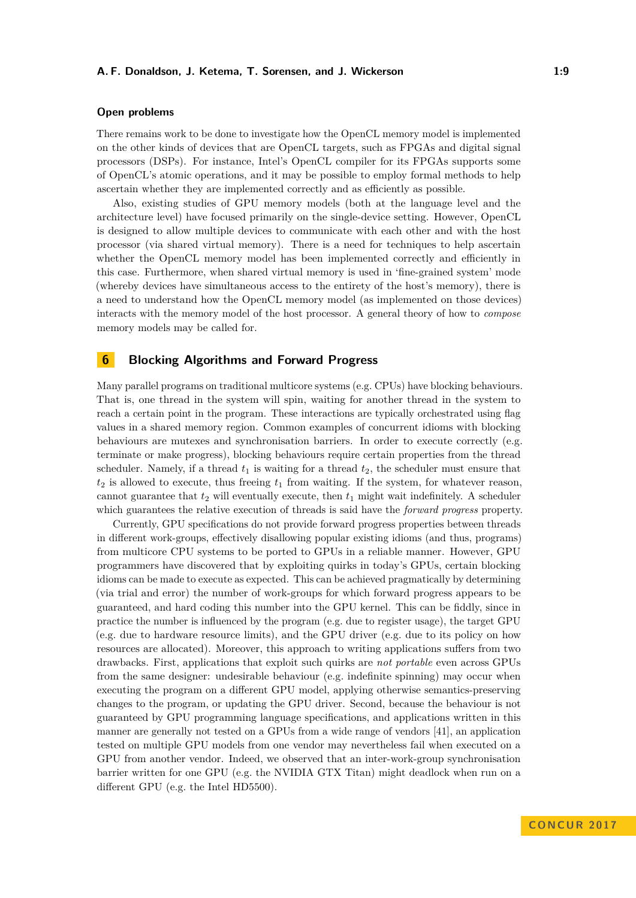# **Open problems**

There remains work to be done to investigate how the OpenCL memory model is implemented on the other kinds of devices that are OpenCL targets, such as FPGAs and digital signal processors (DSPs). For instance, Intel's OpenCL compiler for its FPGAs supports some of OpenCL's atomic operations, and it may be possible to employ formal methods to help ascertain whether they are implemented correctly and as efficiently as possible.

Also, existing studies of GPU memory models (both at the language level and the architecture level) have focused primarily on the single-device setting. However, OpenCL is designed to allow multiple devices to communicate with each other and with the host processor (via shared virtual memory). There is a need for techniques to help ascertain whether the OpenCL memory model has been implemented correctly and efficiently in this case. Furthermore, when shared virtual memory is used in 'fine-grained system' mode (whereby devices have simultaneous access to the entirety of the host's memory), there is a need to understand how the OpenCL memory model (as implemented on those devices) interacts with the memory model of the host processor. A general theory of how to *compose* memory models may be called for.

# <span id="page-8-0"></span>**6 Blocking Algorithms and Forward Progress**

Many parallel programs on traditional multicore systems (e.g. CPUs) have blocking behaviours. That is, one thread in the system will spin, waiting for another thread in the system to reach a certain point in the program. These interactions are typically orchestrated using flag values in a shared memory region. Common examples of concurrent idioms with blocking behaviours are mutexes and synchronisation barriers. In order to execute correctly (e.g. terminate or make progress), blocking behaviours require certain properties from the thread scheduler. Namely, if a thread  $t_1$  is waiting for a thread  $t_2$ , the scheduler must ensure that  $t_2$  is allowed to execute, thus freeing  $t_1$  from waiting. If the system, for whatever reason, cannot guarantee that  $t_2$  will eventually execute, then  $t_1$  might wait indefinitely. A scheduler which guarantees the relative execution of threads is said have the *forward progress* property.

Currently, GPU specifications do not provide forward progress properties between threads in different work-groups, effectively disallowing popular existing idioms (and thus, programs) from multicore CPU systems to be ported to GPUs in a reliable manner. However, GPU programmers have discovered that by exploiting quirks in today's GPUs, certain blocking idioms can be made to execute as expected. This can be achieved pragmatically by determining (via trial and error) the number of work-groups for which forward progress appears to be guaranteed, and hard coding this number into the GPU kernel. This can be fiddly, since in practice the number is influenced by the program (e.g. due to register usage), the target GPU (e.g. due to hardware resource limits), and the GPU driver (e.g. due to its policy on how resources are allocated). Moreover, this approach to writing applications suffers from two drawbacks. First, applications that exploit such quirks are *not portable* even across GPUs from the same designer: undesirable behaviour (e.g. indefinite spinning) may occur when executing the program on a different GPU model, applying otherwise semantics-preserving changes to the program, or updating the GPU driver. Second, because the behaviour is not guaranteed by GPU programming language specifications, and applications written in this manner are generally not tested on a GPUs from a wide range of vendors [\[41\]](#page-12-13), an application tested on multiple GPU models from one vendor may nevertheless fail when executed on a GPU from another vendor. Indeed, we observed that an inter-work-group synchronisation barrier written for one GPU (e.g. the NVIDIA GTX Titan) might deadlock when run on a different GPU (e.g. the Intel HD5500).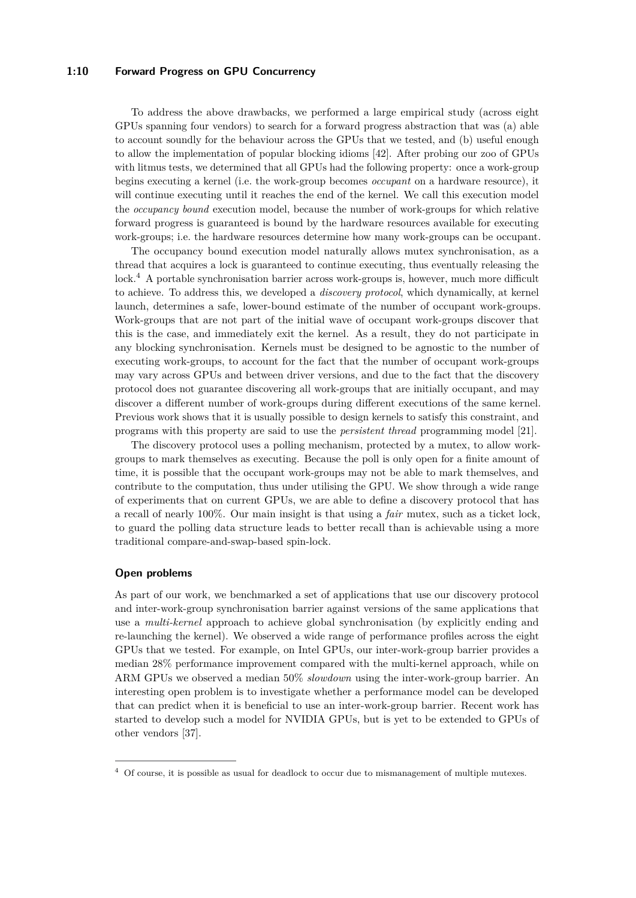# **1:10 Forward Progress on GPU Concurrency**

To address the above drawbacks, we performed a large empirical study (across eight GPUs spanning four vendors) to search for a forward progress abstraction that was (a) able to account soundly for the behaviour across the GPUs that we tested, and (b) useful enough to allow the implementation of popular blocking idioms [\[42\]](#page-12-14). After probing our zoo of GPUs with litmus tests, we determined that all GPUs had the following property: once a work-group begins executing a kernel (i.e. the work-group becomes *occupant* on a hardware resource), it will continue executing until it reaches the end of the kernel. We call this execution model the *occupancy bound* execution model, because the number of work-groups for which relative forward progress is guaranteed is bound by the hardware resources available for executing work-groups; i.e. the hardware resources determine how many work-groups can be occupant.

The occupancy bound execution model naturally allows mutex synchronisation, as a thread that acquires a lock is guaranteed to continue executing, thus eventually releasing the lock.<sup>[4](#page-9-0)</sup> A portable synchronisation barrier across work-groups is, however, much more difficult to achieve. To address this, we developed a *discovery protocol*, which dynamically, at kernel launch, determines a safe, lower-bound estimate of the number of occupant work-groups. Work-groups that are not part of the initial wave of occupant work-groups discover that this is the case, and immediately exit the kernel. As a result, they do not participate in any blocking synchronisation. Kernels must be designed to be agnostic to the number of executing work-groups, to account for the fact that the number of occupant work-groups may vary across GPUs and between driver versions, and due to the fact that the discovery protocol does not guarantee discovering all work-groups that are initially occupant, and may discover a different number of work-groups during different executions of the same kernel. Previous work shows that it is usually possible to design kernels to satisfy this constraint, and programs with this property are said to use the *persistent thread* programming model [\[21\]](#page-11-22).

The discovery protocol uses a polling mechanism, protected by a mutex, to allow workgroups to mark themselves as executing. Because the poll is only open for a finite amount of time, it is possible that the occupant work-groups may not be able to mark themselves, and contribute to the computation, thus under utilising the GPU. We show through a wide range of experiments that on current GPUs, we are able to define a discovery protocol that has a recall of nearly 100%. Our main insight is that using a *fair* mutex, such as a ticket lock, to guard the polling data structure leads to better recall than is achievable using a more traditional compare-and-swap-based spin-lock.

## **Open problems**

As part of our work, we benchmarked a set of applications that use our discovery protocol and inter-work-group synchronisation barrier against versions of the same applications that use a *multi-kernel* approach to achieve global synchronisation (by explicitly ending and re-launching the kernel). We observed a wide range of performance profiles across the eight GPUs that we tested. For example, on Intel GPUs, our inter-work-group barrier provides a median 28% performance improvement compared with the multi-kernel approach, while on ARM GPUs we observed a median 50% *slowdown* using the inter-work-group barrier. An interesting open problem is to investigate whether a performance model can be developed that can predict when it is beneficial to use an inter-work-group barrier. Recent work has started to develop such a model for NVIDIA GPUs, but is yet to be extended to GPUs of other vendors [\[37\]](#page-12-15).

<span id="page-9-0"></span><sup>4</sup> Of course, it is possible as usual for deadlock to occur due to mismanagement of multiple mutexes.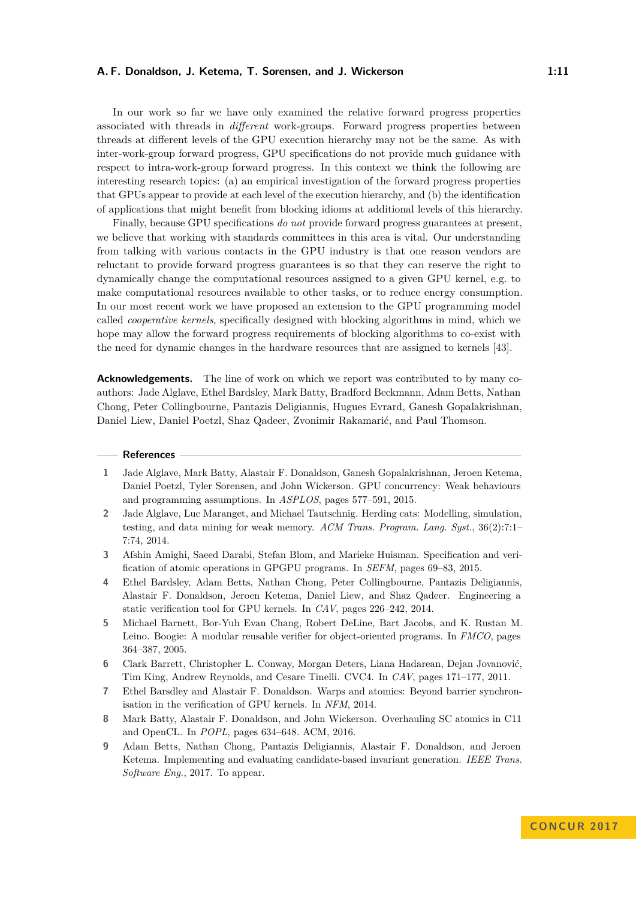In our work so far we have only examined the relative forward progress properties associated with threads in *different* work-groups. Forward progress properties between threads at different levels of the GPU execution hierarchy may not be the same. As with inter-work-group forward progress, GPU specifications do not provide much guidance with respect to intra-work-group forward progress. In this context we think the following are interesting research topics: (a) an empirical investigation of the forward progress properties that GPUs appear to provide at each level of the execution hierarchy, and (b) the identification of applications that might benefit from blocking idioms at additional levels of this hierarchy.

Finally, because GPU specifications *do not* provide forward progress guarantees at present, we believe that working with standards committees in this area is vital. Our understanding from talking with various contacts in the GPU industry is that one reason vendors are reluctant to provide forward progress guarantees is so that they can reserve the right to dynamically change the computational resources assigned to a given GPU kernel, e.g. to make computational resources available to other tasks, or to reduce energy consumption. In our most recent work we have proposed an extension to the GPU programming model called *cooperative kernels*, specifically designed with blocking algorithms in mind, which we hope may allow the forward progress requirements of blocking algorithms to co-exist with the need for dynamic changes in the hardware resources that are assigned to kernels [\[43\]](#page-12-16).

**Acknowledgements.** The line of work on which we report was contributed to by many coauthors: Jade Alglave, Ethel Bardsley, Mark Batty, Bradford Beckmann, Adam Betts, Nathan Chong, Peter Collingbourne, Pantazis Deligiannis, Hugues Evrard, Ganesh Gopalakrishnan, Daniel Liew, Daniel Poetzl, Shaz Qadeer, Zvonimir Rakamarić, and Paul Thomson.

## **References**

- <span id="page-10-6"></span>**1** Jade Alglave, Mark Batty, Alastair F. Donaldson, Ganesh Gopalakrishnan, Jeroen Ketema, Daniel Poetzl, Tyler Sorensen, and John Wickerson. GPU concurrency: Weak behaviours and programming assumptions. In *ASPLOS*, pages 577–591, 2015.
- <span id="page-10-8"></span>**2** Jade Alglave, Luc Maranget, and Michael Tautschnig. Herding cats: Modelling, simulation, testing, and data mining for weak memory. *ACM Trans. Program. Lang. Syst.*, 36(2):7:1– 7:74, 2014.
- <span id="page-10-5"></span>**3** Afshin Amighi, Saeed Darabi, Stefan Blom, and Marieke Huisman. Specification and verification of atomic operations in GPGPU programs. In *SEFM*, pages 69–83, 2015.
- <span id="page-10-0"></span>**4** Ethel Bardsley, Adam Betts, Nathan Chong, Peter Collingbourne, Pantazis Deligiannis, Alastair F. Donaldson, Jeroen Ketema, Daniel Liew, and Shaz Qadeer. Engineering a static verification tool for GPU kernels. In *CAV*, pages 226–242, 2014.
- <span id="page-10-1"></span>**5** Michael Barnett, Bor-Yuh Evan Chang, Robert DeLine, Bart Jacobs, and K. Rustan M. Leino. Boogie: A modular reusable verifier for object-oriented programs. In *FMCO*, pages 364–387, 2005.
- <span id="page-10-2"></span>**6** Clark Barrett, Christopher L. Conway, Morgan Deters, Liana Hadarean, Dejan Jovanović, Tim King, Andrew Reynolds, and Cesare Tinelli. CVC4. In *CAV*, pages 171–177, 2011.
- <span id="page-10-4"></span>**7** Ethel Barsdley and Alastair F. Donaldson. Warps and atomics: Beyond barrier synchronisation in the verification of GPU kernels. In *NFM*, 2014.
- <span id="page-10-7"></span>**8** Mark Batty, Alastair F. Donaldson, and John Wickerson. Overhauling SC atomics in C11 and OpenCL. In *POPL*, pages 634–648. ACM, 2016.
- <span id="page-10-3"></span>**9** Adam Betts, Nathan Chong, Pantazis Deligiannis, Alastair F. Donaldson, and Jeroen Ketema. Implementing and evaluating candidate-based invariant generation. *IEEE Trans. Software Eng.*, 2017. To appear.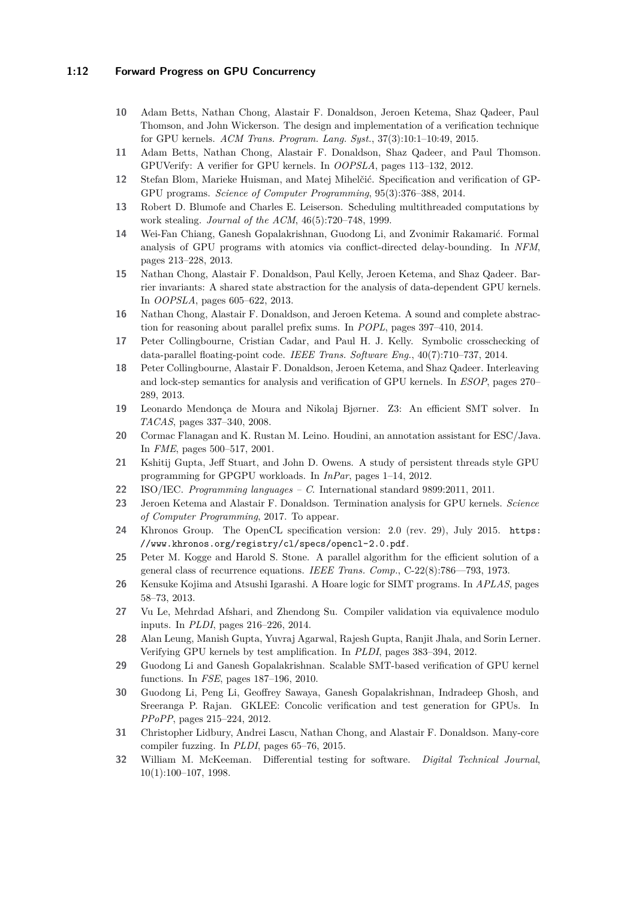# **1:12 Forward Progress on GPU Concurrency**

- <span id="page-11-3"></span>**10** Adam Betts, Nathan Chong, Alastair F. Donaldson, Jeroen Ketema, Shaz Qadeer, Paul Thomson, and John Wickerson. The design and implementation of a verification technique for GPU kernels. *ACM Trans. Program. Lang. Syst.*, 37(3):10:1–10:49, 2015.
- <span id="page-11-2"></span>**11** Adam Betts, Nathan Chong, Alastair F. Donaldson, Shaz Qadeer, and Paul Thomson. GPUVerify: A verifier for GPU kernels. In *OOPSLA*, pages 113–132, 2012.
- <span id="page-11-12"></span>**12** Stefan Blom, Marieke Huisman, and Matej Mihelčić. Specification and verification of GP-GPU programs. *Science of Computer Programming*, 95(3):376–388, 2014.
- <span id="page-11-21"></span>**13** Robert D. Blumofe and Charles E. Leiserson. Scheduling multithreaded computations by work stealing. *Journal of the ACM*, 46(5):720–748, 1999.
- <span id="page-11-16"></span>**14** Wei-Fan Chiang, Ganesh Gopalakrishnan, Guodong Li, and Zvonimir Rakamarić. Formal analysis of GPU programs with atomics via conflict-directed delay-bounding. In *NFM*, pages 213–228, 2013.
- <span id="page-11-14"></span>**15** Nathan Chong, Alastair F. Donaldson, Paul Kelly, Jeroen Ketema, and Shaz Qadeer. Barrier invariants: A shared state abstraction for the analysis of data-dependent GPU kernels. In *OOPSLA*, pages 605–622, 2013.
- <span id="page-11-4"></span>**16** Nathan Chong, Alastair F. Donaldson, and Jeroen Ketema. A sound and complete abstraction for reasoning about parallel prefix sums. In *POPL*, pages 397–410, 2014.
- <span id="page-11-11"></span>**17** Peter Collingbourne, Cristian Cadar, and Paul H. J. Kelly. Symbolic crosschecking of data-parallel floating-point code. *IEEE Trans. Software Eng.*, 40(7):710–737, 2014.
- <span id="page-11-5"></span>**18** Peter Collingbourne, Alastair F. Donaldson, Jeroen Ketema, and Shaz Qadeer. Interleaving and lock-step semantics for analysis and verification of GPU kernels. In *ESOP*, pages 270– 289, 2013.
- <span id="page-11-6"></span>**19** Leonardo Mendonça de Moura and Nikolaj Bjørner. Z3: An efficient SMT solver. In *TACAS*, pages 337–340, 2008.
- <span id="page-11-7"></span>**20** Cormac Flanagan and K. Rustan M. Leino. Houdini, an annotation assistant for ESC/Java. In *FME*, pages 500–517, 2001.
- <span id="page-11-22"></span>**21** Kshitij Gupta, Jeff Stuart, and John D. Owens. A study of persistent threads style GPU programming for GPGPU workloads. In *InPar*, pages 1–14, 2012.
- <span id="page-11-20"></span>**22** ISO/IEC. *Programming languages – C*. International standard 9899:2011, 2011.
- <span id="page-11-15"></span>**23** Jeroen Ketema and Alastair F. Donaldson. Termination analysis for GPU kernels. *Science of Computer Programming*, 2017. To appear.
- <span id="page-11-0"></span>**24** Khronos Group. The OpenCL specification version: 2.0 (rev. 29), July 2015. [https:](https://www.khronos.org/registry/cl/specs/opencl-2.0.pdf) [//www.khronos.org/registry/cl/specs/opencl-2.0.pdf](https://www.khronos.org/registry/cl/specs/opencl-2.0.pdf).
- <span id="page-11-1"></span>**25** Peter M. Kogge and Harold S. Stone. A parallel algorithm for the efficient solution of a general class of recurrence equations. *IEEE Trans. Comp.*, C-22(8):786––793, 1973.
- <span id="page-11-13"></span>**26** Kensuke Kojima and Atsushi Igarashi. A Hoare logic for SIMT programs. In *APLAS*, pages 58–73, 2013.
- <span id="page-11-18"></span>**27** Vu Le, Mehrdad Afshari, and Zhendong Su. Compiler validation via equivalence modulo inputs. In *PLDI*, pages 216–226, 2014.
- <span id="page-11-8"></span>**28** Alan Leung, Manish Gupta, Yuvraj Agarwal, Rajesh Gupta, Ranjit Jhala, and Sorin Lerner. Verifying GPU kernels by test amplification. In *PLDI*, pages 383–394, 2012.
- <span id="page-11-9"></span>**29** Guodong Li and Ganesh Gopalakrishnan. Scalable SMT-based verification of GPU kernel functions. In *FSE*, pages 187–196, 2010.
- <span id="page-11-10"></span>**30** Guodong Li, Peng Li, Geoffrey Sawaya, Ganesh Gopalakrishnan, Indradeep Ghosh, and Sreeranga P. Rajan. GKLEE: Concolic verification and test generation for GPUs. In *PPoPP*, pages 215–224, 2012.
- <span id="page-11-19"></span>**31** Christopher Lidbury, Andrei Lascu, Nathan Chong, and Alastair F. Donaldson. Many-core compiler fuzzing. In *PLDI*, pages 65–76, 2015.
- <span id="page-11-17"></span>**32** William M. McKeeman. Differential testing for software. *Digital Technical Journal*, 10(1):100–107, 1998.